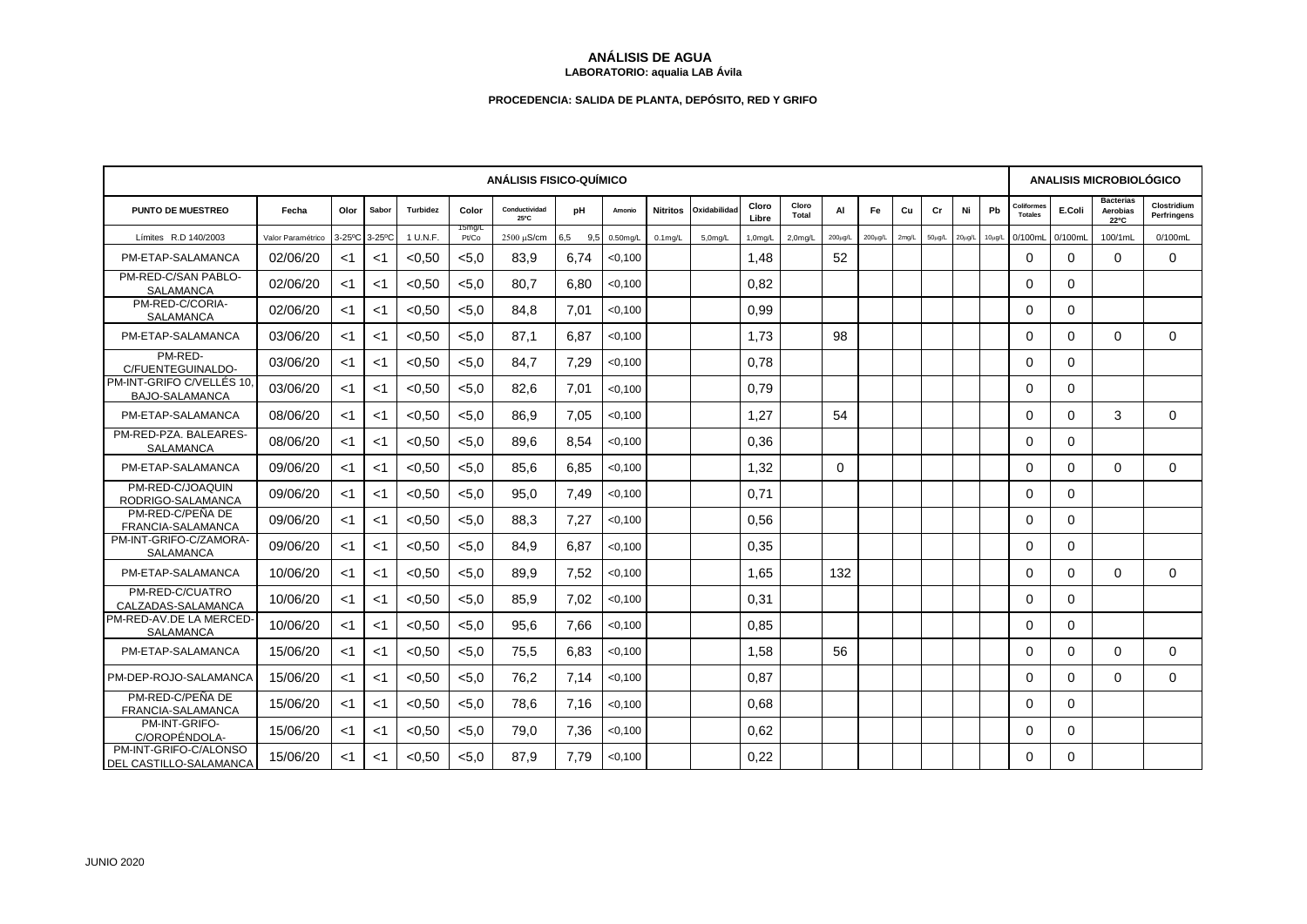## **ANÁLISIS DE AGUA LABORATORIO: aqualia LAB Ávila**

## **PROCEDENCIA: SALIDA DE PLANTA, DEPÓSITO, RED Y GRIFO**

| <b>ANÁLISIS FISICO-QUÍMICO</b>                         |                   |       |               |          |                 |                       |            |             |            |                      |                |                      |              |              | <b>ANALISIS MICROBIOLÓGICO</b> |             |             |             |                              |          |                                      |                            |
|--------------------------------------------------------|-------------------|-------|---------------|----------|-----------------|-----------------------|------------|-------------|------------|----------------------|----------------|----------------------|--------------|--------------|--------------------------------|-------------|-------------|-------------|------------------------------|----------|--------------------------------------|----------------------------|
| <b>PUNTO DE MUESTREO</b>                               | Fecha             | Olor  | Sabor         | Turbidez | Color           | Conductividad<br>25°C | рH         | Amonio      |            | Nitritos Oxidabilida | Cloro<br>Libre | Cloro<br>Total       | AI           | Fe.          | Cu                             | Cr          | Ni          | Pb          | Coliformes<br><b>Totales</b> | E.Coli   | <b>Bacterias</b><br>Aerobias<br>22°C | Clostridium<br>Perfringens |
| Límites R.D 140/2003                                   | Valor Paramétrico |       | 3-25°C 3-25°C | 1 U.N.F. | 15mg/L<br>Pt/Co | 2500 µS/cm            | 6,5<br>9.5 | $0.50$ mg/L | $0.1$ mg/L | 5.0 <sub>m</sub> q/L | $1,0$ mg/L     | 2.0 <sub>m</sub> q/L | $200\mu$ g/L | $200\mu$ g/L | $2$ mg/L                       | $50\mu g/L$ | $20\mu g/L$ | $10\mu$ g/L | 0/100mL                      | 0/100mL  | 100/1mL                              | 0/100mL                    |
| PM-ETAP-SALAMANCA                                      | 02/06/20          | $<$ 1 | $<$ 1         | < 0.50   | < 5.0           | 83,9                  | 6,74       | < 0.100     |            |                      | 1,48           |                      | 52           |              |                                |             |             |             | $\Omega$                     | $\Omega$ | $\Omega$                             | $\Omega$                   |
| PM-RED-C/SAN PABLO-<br><b>SALAMANCA</b>                | 02/06/20          | $<$ 1 | $<$ 1         | < 0.50   | < 5.0           | 80.7                  | 6,80       | < 0.100     |            |                      | 0.82           |                      |              |              |                                |             |             |             | $\Omega$                     | $\Omega$ |                                      |                            |
| PM-RED-C/CORIA-<br>SALAMANCA                           | 02/06/20          | <1    | $<$ 1         | < 0.50   | < 5.0           | 84.8                  | 7,01       | < 0.100     |            |                      | 0.99           |                      |              |              |                                |             |             |             | $\Omega$                     | $\Omega$ |                                      |                            |
| PM-ETAP-SALAMANCA                                      | 03/06/20          | $<$ 1 | $<$ 1         | < 0.50   | < 5.0           | 87.1                  | 6,87       | < 0.100     |            |                      | 1.73           |                      | 98           |              |                                |             |             |             | $\Omega$                     | $\Omega$ | $\Omega$                             | $\Omega$                   |
| PM-RED-<br>C/FUENTEGUINALDO-                           | 03/06/20          | $<$ 1 | $<$ 1         | < 0.50   | < 5.0           | 84.7                  | 7,29       | < 0.100     |            |                      | 0.78           |                      |              |              |                                |             |             |             | $\Omega$                     | $\Omega$ |                                      |                            |
| PM-INT-GRIFO C/VELLÉS 10.<br><b>BAJO-SALAMANCA</b>     | 03/06/20          | $<$ 1 | $<$ 1         | < 0.50   | < 5.0           | 82.6                  | 7.01       | < 0,100     |            |                      | 0.79           |                      |              |              |                                |             |             |             | $\Omega$                     | $\Omega$ |                                      |                            |
| PM-ETAP-SALAMANCA                                      | 08/06/20          | $<$ 1 | $<$ 1         | < 0.50   | < 5.0           | 86,9                  | 7,05       | < 0.100     |            |                      | 1,27           |                      | 54           |              |                                |             |             |             | $\Omega$                     | $\Omega$ | 3                                    | $\Omega$                   |
| PM-RED-PZA. BALEARES-<br><b>SALAMANCA</b>              | 08/06/20          | $<$ 1 | $<$ 1         | < 0.50   | < 5.0           | 89.6                  | 8.54       | < 0.100     |            |                      | 0.36           |                      |              |              |                                |             |             |             | $\Omega$                     | 0        |                                      |                            |
| PM-ETAP-SALAMANCA                                      | 09/06/20          | $<$ 1 | $<$ 1         | < 0, 50  | < 5.0           | 85,6                  | 6,85       | < 0,100     |            |                      | 1,32           |                      | 0            |              |                                |             |             |             | $\Omega$                     | $\Omega$ | $\Omega$                             | $\Omega$                   |
| PM-RED-C/JOAQUIN<br>RODRIGO-SALAMANCA                  | 09/06/20          | $<$ 1 | $<$ 1         | < 0.50   | < 5.0           | 95.0                  | 7,49       | < 0,100     |            |                      | 0.71           |                      |              |              |                                |             |             |             | $\Omega$                     | $\Omega$ |                                      |                            |
| PM-RED-C/PEÑA DE<br>FRANCIA-SALAMANCA                  | 09/06/20          | $<$ 1 | $<$ 1         | < 0.50   | < 5.0           | 88.3                  | 7.27       | < 0.100     |            |                      | 0.56           |                      |              |              |                                |             |             |             | $\Omega$                     | $\Omega$ |                                      |                            |
| PM-INT-GRIFO-C/ZAMORA-<br><b>SALAMANCA</b>             | 09/06/20          | $<$ 1 | $<$ 1         | < 0, 50  | < 5.0           | 84.9                  | 6,87       | < 0,100     |            |                      | 0,35           |                      |              |              |                                |             |             |             | $\Omega$                     | 0        |                                      |                            |
| PM-ETAP-SALAMANCA                                      | 10/06/20          | $<$ 1 | $<$ 1         | < 0.50   | < 5.0           | 89,9                  | 7,52       | < 0.100     |            |                      | 1.65           |                      | 132          |              |                                |             |             |             | $\Omega$                     | $\Omega$ | $\Omega$                             | $\Omega$                   |
| PM-RED-C/CUATRO<br>CALZADAS-SALAMANCA                  | 10/06/20          | $<$ 1 | $<$ 1         | < 0.50   | < 5.0           | 85.9                  | 7.02       | < 0.100     |            |                      | 0.31           |                      |              |              |                                |             |             |             | $\Omega$                     | $\Omega$ |                                      |                            |
| PM-RED-AV.DE LA MERCED-<br><b>SALAMANCA</b>            | 10/06/20          | <1    | $<$ 1         | < 0.50   | < 5.0           | 95,6                  | 7,66       | < 0,100     |            |                      | 0,85           |                      |              |              |                                |             |             |             | $\Omega$                     | $\Omega$ |                                      |                            |
| PM-ETAP-SALAMANCA                                      | 15/06/20          | $<$ 1 | $<$ 1         | < 0.50   | < 5.0           | 75,5                  | 6,83       | < 0.100     |            |                      | 1,58           |                      | 56           |              |                                |             |             |             | $\Omega$                     | $\Omega$ | $\Omega$                             | $\Omega$                   |
| PM-DEP-ROJO-SALAMANCA                                  | 15/06/20          | $<$ 1 | $<$ 1         | < 0.50   | < 5.0           | 76.2                  | 7.14       | < 0,100     |            |                      | 0.87           |                      |              |              |                                |             |             |             | $\Omega$                     | 0        | $\Omega$                             | $\Omega$                   |
| PM-RED-C/PEÑA DE<br>FRANCIA-SALAMANCA                  | 15/06/20          | $<$ 1 | <1            | < 0.50   | < 5.0           | 78,6                  | 7,16       | < 0,100     |            |                      | 0,68           |                      |              |              |                                |             |             |             | $\Omega$                     | $\Omega$ |                                      |                            |
| PM-INT-GRIFO-<br>C/OROPÉNDOLA-                         | 15/06/20          | $<$ 1 | $<$ 1         | < 0.50   | < 5.0           | 79,0                  | 7,36       | < 0.100     |            |                      | 0.62           |                      |              |              |                                |             |             |             | $\Omega$                     | $\Omega$ |                                      |                            |
| PM-INT-GRIFO-C/ALONSO<br><b>DEL CASTILLO-SALAMANCA</b> | 15/06/20          | $<$ 1 | $<$ 1         | < 0.50   | < 5.0           | 87.9                  | 7,79       | < 0.100     |            |                      | 0,22           |                      |              |              |                                |             |             |             | $\Omega$                     | 0        |                                      |                            |